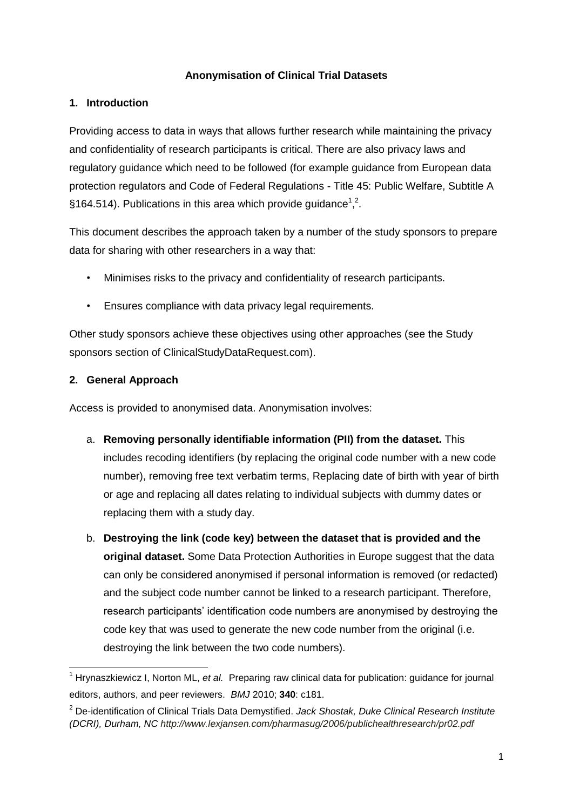# **Anonymisation of Clinical Trial Datasets**

#### **1. Introduction**

Providing access to data in ways that allows further research while maintaining the privacy and confidentiality of research participants is critical. There are also privacy laws and regulatory guidance which need to be followed (for example guidance from [European](https://clinicalstudydata.gsk.com/Documents/Privacy-European-guidance.pdf) data protection [regulators](https://clinicalstudydata.gsk.com/Documents/Privacy-European-guidance.pdf) and Code of Federal [Regulations](https://clinicalstudydata.gsk.com/Documents/Privacy-US-guidance.pdf) - Title 45: Public Welfare, Subtitle A [§164.514\)](https://clinicalstudydata.gsk.com/Documents/Privacy-US-guidance.pdf). Publications in this area which provide guidance<sup>1</sup>,<sup>2</sup>.

This document describes the approach taken by a number of the study sponsors to prepare data for sharing with other researchers in a way that:

- Minimises risks to the privacy and confidentiality of research participants.
- Ensures compliance with data privacy legal requirements.

Other study sponsors achieve these objectives using other approaches (see the Study sponsors section of ClinicalStudyDataRequest.com).

#### **2. General Approach**

 $\overline{\phantom{a}}$ 

Access is provided to anonymised data. Anonymisation involves:

- a. **Removing personally identifiable information (PII) from the dataset.** This includes recoding identifiers (by replacing the original code number with a new code number), removing free text verbatim terms, Replacing date of birth with year of birth or age and replacing all dates relating to individual subjects with dummy dates or replacing them with a study day.
- b. **Destroying the link (code key) between the dataset that is provided and the original dataset.** Some Data Protection Authorities in Europe suggest that the data can only be considered anonymised if personal information is removed (or redacted) and the subject code number cannot be linked to a research participant. Therefore, research participants' identification code numbers are anonymised by destroying the code key that was used to generate the new code number from the original (i.e. destroying the link between the two code numbers).

<sup>&</sup>lt;sup>1</sup> Hrynaszkiewicz I, Norton ML, et al. Preparing raw clinical data for publication: guidance for journal editors, authors, and peer reviewers. *BMJ* 2010; **340**: c181.

<sup>2</sup> De-identification of Clinical Trials Data Demystified. *Jack Shostak, Duke Clinical Research Institute (DCRI), Durham, NC<http://www.lexjansen.com/pharmasug/2006/publichealthresearch/pr02.pdf>*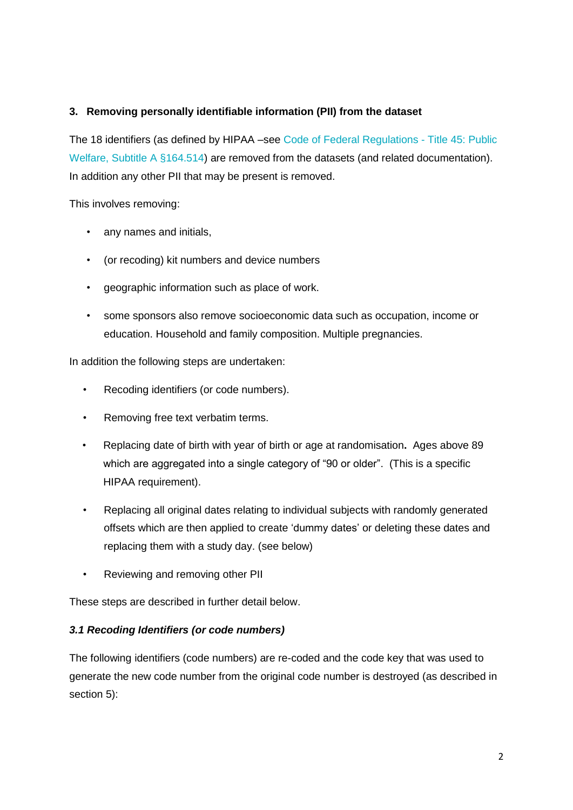# **3. Removing personally identifiable information (PII) from the dataset**

The 18 identifiers (as defined by HIPAA –see Code of Federal [Regulations](https://clinicalstudydata.gsk.com/Documents/Privacy-US-guidance.pdf) - Title 45: Public Welfare, Subtitle A [§164.514\)](https://clinicalstudydata.gsk.com/Documents/Privacy-US-guidance.pdf) are removed from the datasets (and related documentation). In addition any other PII that may be present is removed.

This involves removing:

- any names and initials,
- (or recoding) kit numbers and device numbers
- geographic information such as place of work.
- some sponsors also remove socioeconomic data such as occupation, income or education. Household and family composition. Multiple pregnancies.

In addition the following steps are undertaken:

- Recoding identifiers (or code numbers).
- Removing free text verbatim terms.
- Replacing date of birth with year of birth or age at randomisation**.** Ages above 89 which are aggregated into a single category of "90 or older". (This is a specific HIPAA requirement).
- Replacing all original dates relating to individual subjects with randomly generated offsets which are then applied to create 'dummy dates' or deleting these dates and replacing them with a study day. (see below)
- Reviewing and removing other PII

These steps are described in further detail below.

#### *3.1 Recoding Identifiers (or code numbers)*

The following identifiers (code numbers) are re-coded and the code key that was used to generate the new code number from the original code number is destroyed (as described in section 5):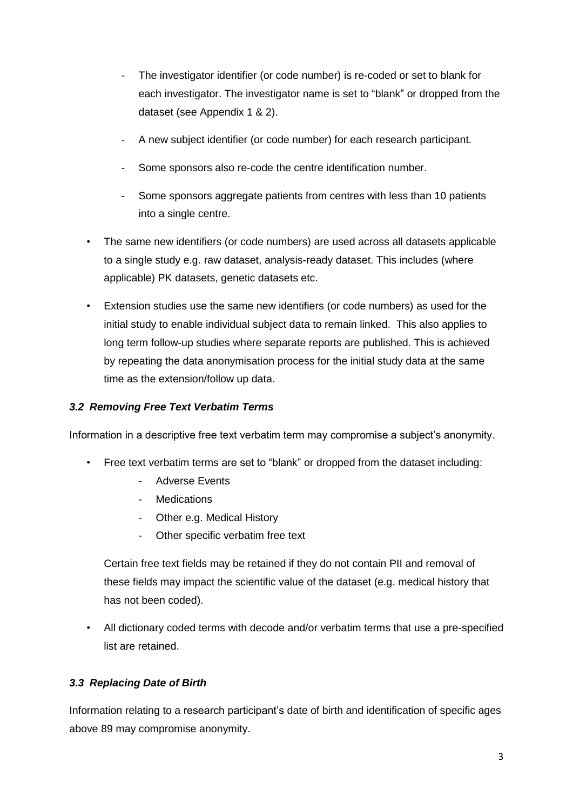- The investigator identifier (or code number) is re-coded or set to blank for each investigator. The investigator name is set to "blank" or dropped from the dataset (see Appendix 1 & 2).
- A new subject identifier (or code number) for each research participant.
- Some sponsors also re-code the centre identification number.
- Some sponsors aggregate patients from centres with less than 10 patients into a single centre.
- The same new identifiers (or code numbers) are used across all datasets applicable to a single study e.g. raw dataset, analysis-ready dataset. This includes (where applicable) PK datasets, genetic datasets etc.
- Extension studies use the same new identifiers (or code numbers) as used for the initial study to enable individual subject data to remain linked. This also applies to long term follow-up studies where separate reports are published. This is achieved by repeating the data anonymisation process for the initial study data at the same time as the extension/follow up data.

# *3.2 Removing Free Text Verbatim Terms*

Information in a descriptive free text verbatim term may compromise a subject's anonymity.

- Free text verbatim terms are set to "blank" or dropped from the dataset including:
	- Adverse Events
	- Medications
	- Other e.g. Medical History
	- Other specific verbatim free text

Certain free text fields may be retained if they do not contain PII and removal of these fields may impact the scientific value of the dataset (e.g. medical history that has not been coded).

• All dictionary coded terms with decode and/or verbatim terms that use a pre-specified list are retained.

# *3.3 Replacing Date of Birth*

Information relating to a research participant's date of birth and identification of specific ages above 89 may compromise anonymity.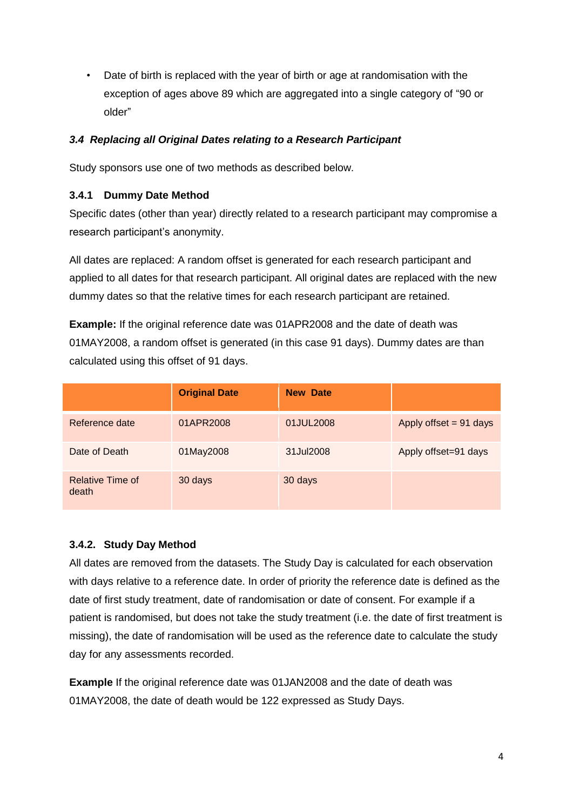• Date of birth is replaced with the year of birth or age at randomisation with the exception of ages above 89 which are aggregated into a single category of "90 or older"

# *3.4 Replacing all Original Dates relating to a Research Participant*

Study sponsors use one of two methods as described below.

# **3.4.1 Dummy Date Method**

Specific dates (other than year) directly related to a research participant may compromise a research participant's anonymity.

All dates are replaced: A random offset is generated for each research participant and applied to all dates for that research participant. All original dates are replaced with the new dummy dates so that the relative times for each research participant are retained.

**Example:** If the original reference date was 01APR2008 and the date of death was 01MAY2008, a random offset is generated (in this case 91 days). Dummy dates are than calculated using this offset of 91 days.

|                                  | <b>Original Date</b> | <b>New Date</b> |                        |
|----------------------------------|----------------------|-----------------|------------------------|
| Reference date                   | 01APR2008            | 01JUL2008       | Apply offset = 91 days |
| Date of Death                    | 01May2008            | 31Jul2008       | Apply offset=91 days   |
| <b>Relative Time of</b><br>death | 30 days              | 30 days         |                        |

# **3.4.2. Study Day Method**

All dates are removed from the datasets. The Study Day is calculated for each observation with days relative to a reference date. In order of priority the reference date is defined as the date of first study treatment, date of randomisation or date of consent. For example if a patient is randomised, but does not take the study treatment (i.e. the date of first treatment is missing), the date of randomisation will be used as the reference date to calculate the study day for any assessments recorded.

**Example** If the original reference date was 01JAN2008 and the date of death was 01MAY2008, the date of death would be 122 expressed as Study Days.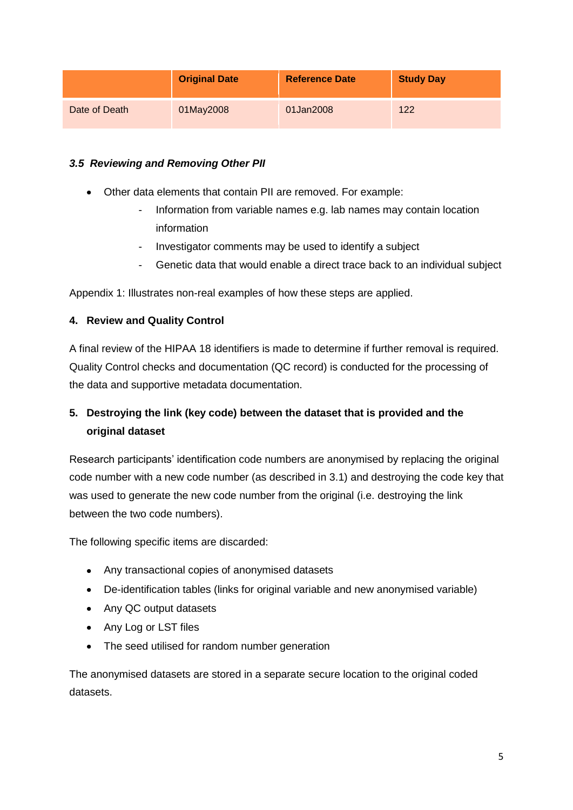|               | <b>Original Date</b> | <b>Reference Date</b> | <b>Study Day</b> |
|---------------|----------------------|-----------------------|------------------|
| Date of Death | 01May2008            | 01Jan2008             | 122              |

# *3.5 Reviewing and Removing Other PII*

- Other data elements that contain PII are removed. For example:
	- Information from variable names e.g. lab names may contain location information
	- Investigator comments may be used to identify a subject
	- Genetic data that would enable a direct trace back to an individual subject

Appendix 1: Illustrates non-real examples of how these steps are applied.

# **4. Review and Quality Control**

A final review of the HIPAA 18 identifiers is made to determine if further removal is required. Quality Control checks and documentation (QC record) is conducted for the processing of the data and supportive metadata documentation.

# **5. Destroying the link (key code) between the dataset that is provided and the original dataset**

Research participants' identification code numbers are anonymised by replacing the original code number with a new code number (as described in 3.1) and destroying the code key that was used to generate the new code number from the original (i.e. destroying the link between the two code numbers).

The following specific items are discarded:

- Any transactional copies of anonymised datasets
- De-identification tables (links for original variable and new anonymised variable)
- Any QC output datasets
- Any Log or LST files
- The seed utilised for random number generation

The anonymised datasets are stored in a separate secure location to the original coded datasets.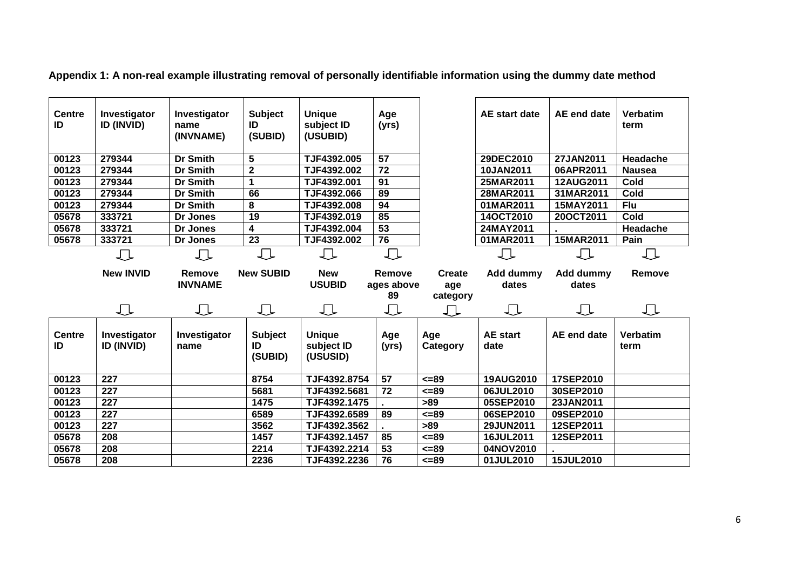| <b>Centre</b><br>ID | Investigator<br><b>ID (INVID)</b> | Investigator<br>name<br>(INVNAME) | <b>Subject</b><br>ID<br>(SUBID) | <b>Unique</b><br>subject ID<br>(USUBID) | Age<br>(yrs)    |                 | AE start date           | AE end date            | <b>Verbatim</b><br>term |
|---------------------|-----------------------------------|-----------------------------------|---------------------------------|-----------------------------------------|-----------------|-----------------|-------------------------|------------------------|-------------------------|
| 00123               | 279344                            | <b>Dr Smith</b>                   | 5                               | TJF4392.005                             | $\overline{57}$ |                 | 29DEC2010               | 27JAN2011              | Headache                |
| 00123               | 279344                            | <b>Dr Smith</b>                   | $\overline{\mathbf{2}}$         | TJF4392.002                             | 72              |                 | 10JAN2011               | 06APR2011              | <b>Nausea</b>           |
| 00123               | 279344                            | <b>Dr Smith</b>                   | 1                               | TJF4392.001                             | 91              |                 | 25MAR2011               | 12AUG2011              | Cold                    |
| 00123               | 279344                            | <b>Dr Smith</b>                   | 66                              | TJF4392.066                             | 89              |                 | 28MAR2011               | 31MAR2011              | Cold                    |
| 00123               | 279344                            | <b>Dr Smith</b>                   | 8                               | TJF4392.008                             | 94              |                 | 01MAR2011               | 15MAY2011              | Flu                     |
| 05678               | 333721                            | Dr Jones                          | $\overline{19}$                 | TJF4392.019                             | 85              |                 | 14OCT2010               | 20OCT2011              | Cold                    |
| 05678               | 333721                            | Dr Jones                          | 4                               | TJF4392.004                             | 53              |                 | 24MAY2011               |                        | Headache                |
| 05678               | 333721                            | Dr Jones                          | 23                              | TJF4392.002                             | 76              |                 | 01MAR2011               | 15MAR2011              | Pain                    |
|                     | ∪                                 | ∪                                 |                                 | ∪                                       | ∪               |                 | IJ                      | $\Box$                 | 丄                       |
|                     | <b>New INVID</b>                  | Remove                            | <b>New SUBID</b>                | <b>New</b>                              | Remove          | <b>Create</b>   | Add dummy               | <b>Add dummy</b>       | Remove                  |
|                     |                                   | <b>INVNAME</b>                    |                                 | <b>USUBID</b>                           | ages above      | age             | dates                   | dates                  |                         |
|                     |                                   |                                   |                                 |                                         | 89              | category        |                         |                        |                         |
|                     | ∪                                 | ∪                                 | ∪                               | ∪                                       | ∪               | ∪               | 丁                       | ∪                      | 工                       |
| <b>Centre</b><br>ID | Investigator<br>ID (INVID)        | Investigator<br>name              | <b>Subject</b><br>ID<br>(SUBID) | <b>Unique</b><br>subject ID<br>(USUSID) | Age<br>(yrs)    | Age<br>Category | <b>AE</b> start<br>date | <b>AE</b> end date     | <b>Verbatim</b><br>term |
|                     |                                   |                                   |                                 |                                         |                 |                 |                         |                        |                         |
| 00123               | 227                               |                                   | 8754                            | TJF4392.8754                            | 57              | $5 = 89$        | 19AUG2010               | 17SEP2010              |                         |
| 00123               | 227                               |                                   | 5681                            | TJF4392.5681                            | 72              | $5 - 89$        | 06JUL2010               | 30SEP2010              |                         |
| 00123<br>00123      | 227<br>227                        |                                   | 1475<br>6589                    | TJF4392.1475<br>TJF4392.6589            | 89              | >89<br>$= 89$   | 05SEP2010<br>06SEP2010  | 23JAN2011<br>09SEP2010 |                         |
| 00123               | 227                               |                                   | 3562                            | TJF4392.3562                            |                 | >89             | 29JUN2011               | 12SEP2011              |                         |
| 05678               | 208                               |                                   | 1457                            | TJF4392.1457                            | 85              | $<=89$          | 16JUL2011               |                        |                         |
| 05678               | 208                               |                                   | 2214                            | TJF4392.2214                            | 53              | $= 89$          | 04NOV2010               | 12SEP2011              |                         |

**Appendix 1: A non-real example illustrating removal of personally identifiable information using the dummy date method**